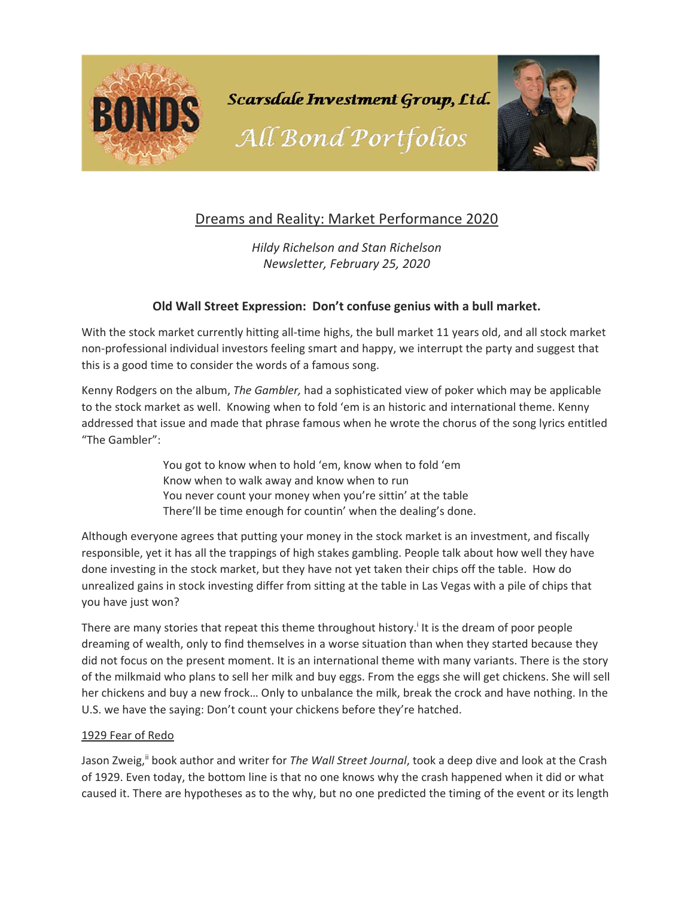

# Dreams and Reality: Market Performance 2020

*Hildy Richelson and Stan Richelson Newsletter, February 25, 2020* 

## **Old Wall Street Expression: Don't confuse genius with a bull market.**

With the stock market currently hitting all-time highs, the bull market 11 years old, and all stock market non‐professional individual investors feeling smart and happy, we interrupt the party and suggest that this is a good time to consider the words of a famous song.

Kenny Rodgers on the album, *The Gambler,* had a sophisticated view of poker which may be applicable to the stock market as well. Knowing when to fold 'em is an historic and international theme. Kenny addressed that issue and made that phrase famous when he wrote the chorus of the song lyrics entitled "The Gambler":

> You got to know when to hold 'em, know when to fold 'em Know when to walk away and know when to run You never count your money when you're sittin' at the table There'll be time enough for countin' when the dealing's done.

Although everyone agrees that putting your money in the stock market is an investment, and fiscally responsible, yet it has all the trappings of high stakes gambling. People talk about how well they have done investing in the stock market, but they have not yet taken their chips off the table. How do unrealized gains in stock investing differ from sitting at the table in Las Vegas with a pile of chips that you have just won?

There are many stories that repeat this theme throughout history.<sup>i</sup> It is the dream of poor people dreaming of wealth, only to find themselves in a worse situation than when they started because they did not focus on the present moment. It is an international theme with many variants. There is the story of the milkmaid who plans to sell her milk and buy eggs. From the eggs she will get chickens. She will sell her chickens and buy a new frock… Only to unbalance the milk, break the crock and have nothing. In the U.S. we have the saying: Don't count your chickens before they're hatched.

### 1929 Fear of Redo

Jason Zweig,<sup>ii</sup> book author and writer for *The Wall Street Journal*, took a deep dive and look at the Crash of 1929. Even today, the bottom line is that no one knows why the crash happened when it did or what caused it. There are hypotheses as to the why, but no one predicted the timing of the event or its length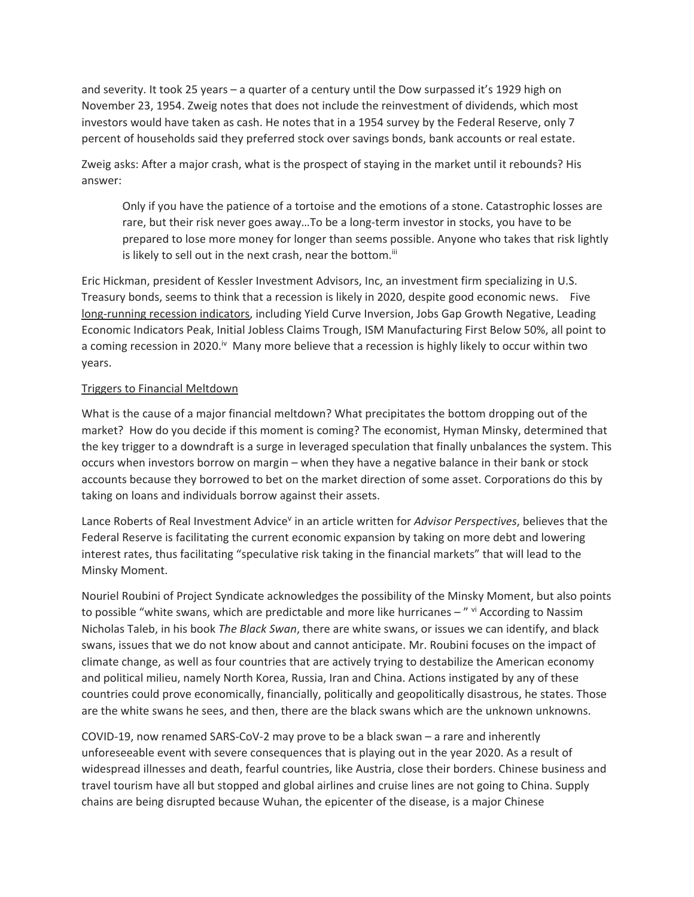and severity. It took 25 years – a quarter of a century until the Dow surpassed it's 1929 high on November 23, 1954. Zweig notes that does not include the reinvestment of dividends, which most investors would have taken as cash. He notes that in a 1954 survey by the Federal Reserve, only 7 percent of households said they preferred stock over savings bonds, bank accounts or real estate.

Zweig asks: After a major crash, what is the prospect of staying in the market until it rebounds? His answer:

Only if you have the patience of a tortoise and the emotions of a stone. Catastrophic losses are rare, but their risk never goes away...To be a long-term investor in stocks, you have to be prepared to lose more money for longer than seems possible. Anyone who takes that risk lightly is likely to sell out in the next crash, near the bottom.<sup>iii</sup>

Eric Hickman, president of Kessler Investment Advisors, Inc, an investment firm specializing in U.S. Treasury bonds, seems to think that a recession is likely in 2020, despite good economic news. Five long‐running recession indicators, including Yield Curve Inversion, Jobs Gap Growth Negative, Leading Economic Indicators Peak, Initial Jobless Claims Trough, ISM Manufacturing First Below 50%, all point to a coming recession in 2020.<sup>iv</sup> Many more believe that a recession is highly likely to occur within two years.

### Triggers to Financial Meltdown

What is the cause of a major financial meltdown? What precipitates the bottom dropping out of the market? How do you decide if this moment is coming? The economist, Hyman Minsky, determined that the key trigger to a downdraft is a surge in leveraged speculation that finally unbalances the system. This occurs when investors borrow on margin – when they have a negative balance in their bank or stock accounts because they borrowed to bet on the market direction of some asset. Corporations do this by taking on loans and individuals borrow against their assets.

Lance Roberts of Real Investment Advice<sup>v</sup> in an article written for *Advisor Perspectives*, believes that the Federal Reserve is facilitating the current economic expansion by taking on more debt and lowering interest rates, thus facilitating "speculative risk taking in the financial markets" that will lead to the Minsky Moment.

Nouriel Roubini of Project Syndicate acknowledges the possibility of the Minsky Moment, but also points to possible "white swans, which are predictable and more like hurricanes - " vi According to Nassim Nicholas Taleb, in his book *The Black Swan*, there are white swans, or issues we can identify, and black swans, issues that we do not know about and cannot anticipate. Mr. Roubini focuses on the impact of climate change, as well as four countries that are actively trying to destabilize the American economy and political milieu, namely North Korea, Russia, Iran and China. Actions instigated by any of these countries could prove economically, financially, politically and geopolitically disastrous, he states. Those are the white swans he sees, and then, there are the black swans which are the unknown unknowns.

COVID‐19, now renamed SARS‐CoV‐2 may prove to be a black swan – a rare and inherently unforeseeable event with severe consequences that is playing out in the year 2020. As a result of widespread illnesses and death, fearful countries, like Austria, close their borders. Chinese business and travel tourism have all but stopped and global airlines and cruise lines are not going to China. Supply chains are being disrupted because Wuhan, the epicenter of the disease, is a major Chinese